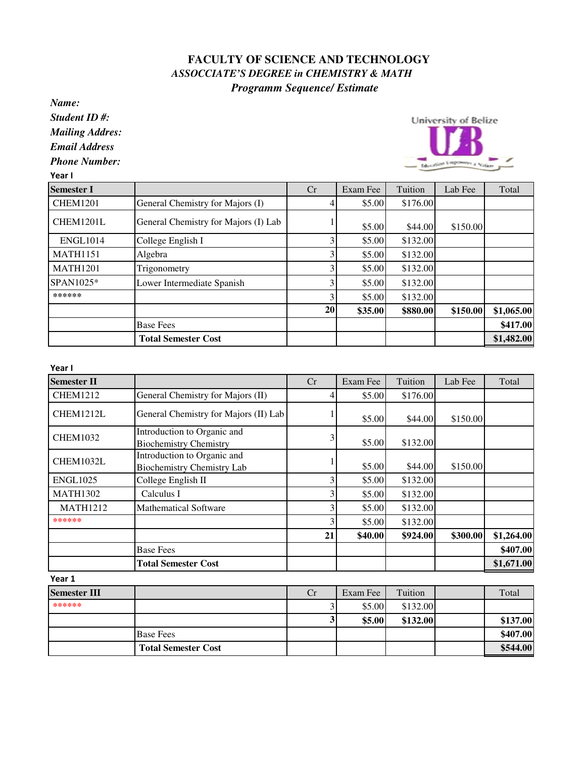## **FACULTY OF SCIENCE AND TECHNOLOGY**  *ASSOCCIATE'S DEGREE in CHEMISTRY & MATH Programm Sequence/ Estimate*

*Name:*

*Student ID #:*

*Mailing Addres:*

*Email Address*

*Phone Number:*

Year I



| <b>Semester I</b> |                                      | Cr | Exam Fee | Tuition  | Lab Fee  | Total      |
|-------------------|--------------------------------------|----|----------|----------|----------|------------|
| <b>CHEM1201</b>   | General Chemistry for Majors (I)     |    | \$5.00   | \$176.00 |          |            |
| CHEM1201L         | General Chemistry for Majors (I) Lab |    | \$5.00   | \$44.00  | \$150.00 |            |
| <b>ENGL1014</b>   | College English I                    |    | \$5.00   | \$132.00 |          |            |
| <b>MATH1151</b>   | Algebra                              |    | \$5.00   | \$132.00 |          |            |
| <b>MATH1201</b>   | Trigonometry                         |    | \$5.00   | \$132.00 |          |            |
| SPAN1025*         | Lower Intermediate Spanish           |    | \$5.00   | \$132.00 |          |            |
| ******            |                                      |    | \$5.00   | \$132.00 |          |            |
|                   |                                      | 20 | \$35.00  | \$880.00 | \$150.00 | \$1,065.00 |
|                   | <b>Base Fees</b>                     |    |          |          |          | \$417.00   |
|                   | <b>Total Semester Cost</b>           |    |          |          |          | \$1,482.00 |

Year I

| 1 cal I             |                                                                  |    |          |          |          |            |
|---------------------|------------------------------------------------------------------|----|----------|----------|----------|------------|
| <b>Semester II</b>  |                                                                  | Cr | Exam Fee | Tuition  | Lab Fee  | Total      |
| <b>CHEM1212</b>     | General Chemistry for Majors (II)                                |    | \$5.00   | \$176.00 |          |            |
| CHEM1212L           | General Chemistry for Majors (II) Lab                            |    | \$5.00   | \$44.00  | \$150.00 |            |
| <b>CHEM1032</b>     | Introduction to Organic and<br><b>Biochemistry Chemistry</b>     | 3  | \$5.00   | \$132.00 |          |            |
| CHEM1032L           | Introduction to Organic and<br><b>Biochemistry Chemistry Lab</b> |    | \$5.00   | \$44.00  | \$150.00 |            |
| <b>ENGL1025</b>     | College English II                                               | 3  | \$5.00   | \$132.00 |          |            |
| <b>MATH1302</b>     | Calculus I                                                       | 3  | \$5.00   | \$132.00 |          |            |
| <b>MATH1212</b>     | <b>Mathematical Software</b>                                     | 3  | \$5.00   | \$132.00 |          |            |
| ******              |                                                                  | 3  | \$5.00   | \$132.00 | \$300.00 |            |
|                     |                                                                  | 21 | \$40.00  | \$924.00 |          | \$1,264.00 |
|                     | <b>Base Fees</b>                                                 |    |          |          |          | \$407.00   |
|                     | <b>Total Semester Cost</b>                                       |    |          |          |          | \$1,671.00 |
| Year 1              |                                                                  |    |          |          |          |            |
| <b>Semester III</b> |                                                                  | Cr | Exam Fee | Tuition  |          | Total      |
| ******              |                                                                  |    | \$5.00   | \$132.00 |          |            |
|                     |                                                                  | 3  | \$5.00   | \$132.00 |          | \$137.00   |
|                     | <b>Base Fees</b>                                                 |    |          |          |          | \$407.00   |

 **Total Semester Cost \$544.00**